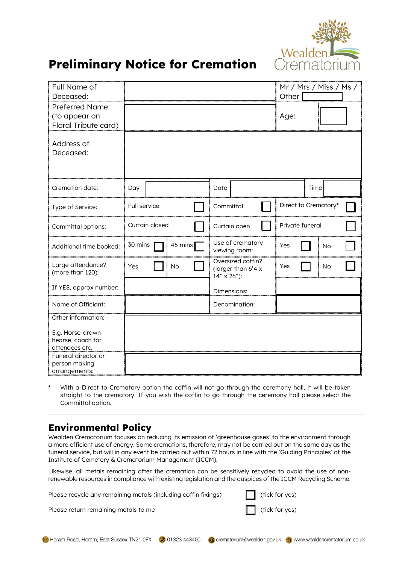

## **Preliminary Notice for Cremation**

| Full Name of<br>Deceased:                                                     |                    |                                                               | Mr / Mrs / Miss / Ms /<br>Other |
|-------------------------------------------------------------------------------|--------------------|---------------------------------------------------------------|---------------------------------|
| Preferred Name:<br>(to appear on<br>Floral Tribute card)                      |                    |                                                               | Age:                            |
| Address of<br>Deceased:                                                       |                    |                                                               |                                 |
| Cremation date:                                                               | Day                | Date                                                          | Time                            |
| Type of Service:                                                              | Full service       | Committal                                                     | Direct to Crematory*            |
| Committal options:                                                            | Curtain closed     | Curtain open                                                  | Private funeral                 |
| Additional time booked:                                                       | 30 mins<br>45 mins | Use of crematory<br>viewing room:                             | Yes<br>No                       |
| Large attendance?<br>(more than 120):                                         | Yes<br><b>No</b>   | Oversized coffin?<br>(larger than 6'4 x<br>$14" \times 26"$ : | Yes<br>No                       |
| If YES, approx number:                                                        |                    | Dimensions:                                                   |                                 |
| Name of Officiant:                                                            |                    | Denomination:                                                 |                                 |
| Other information:<br>E.g. Horse-drawn<br>hearse, coach for<br>attendees etc. |                    |                                                               |                                 |
| Funeral director or<br>person making<br>arrangements:                         |                    |                                                               |                                 |

With a Direct to Crematory option the coffin will not go through the ceremony hall, it will be taken straight to the crematory. If you wish the coffin to go through the ceremony hall please select the Committal option.

## **Environmental Policy**

Wealden Crematorium focuses on reducing its emission of 'greenhouse gases' to the environment through a more efficient use of energy. Some cremations, therefore, may not be carried out on the same day as the funeral service, but will in any event be carried out within 72 hours in line with the 'Guiding Principles' of the Institute of Cemetery & Crematorium Management (ICCM).

Likewise, all metals remaining after the cremation can be sensitively recycled to avoid the use of nonrenewable resources in compliance with existing legislation and the auspices of the ICCM Recycling Scheme.

Please recycle any remaining metals (including coffin fixings)  $\Box$  (tick for yes)

Please return remaining metals to me  $\Box$  (tick for yes)